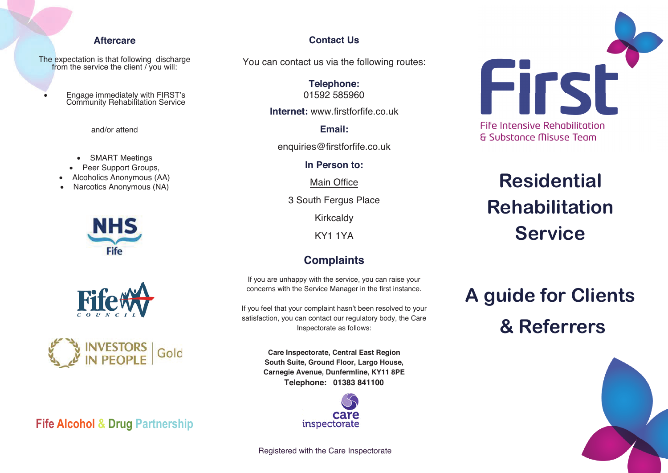#### **Aftercare**

The expectation is that following discharge from the service the client / you will:

• Engage immediately with FIRST's Community Rehabilitation Service

and/or attend

- SMART Meetings
- Peer Support Groups.
- Alcoholics Anonymous (AA)
- Narcotics Anonymous (NA)







**Fife Alcohol & Drug Partnership**

#### **Contact Us Contact Us**

You can contact us via the following routes: You can contact us viathe following routes:

**Telephone: Telephone:** 01592 585960 01592 585960

**Internet:** www.firstforfife.co.uk **Internet:** www.firstforfife.co.uk

**Email: Email:**

enquiries@firstforfife.co.uk enquiries@firstforfife.co.uk

**In Person to: In Person to:**

Main Office Main Office

3 South Fergus Place 3 South Fergus Place

Kirkcaldy Kirkcaldy

KY1 1YA KY1 1YA

## **Complaints Complaints**

If you are unhappy with the service, you can raise your If you are unhappy with the service, you can raise your concerns with the Service Manager in the first instance. concerns with the Service Manager in the first instance.

If you feel that your complaint hasn't been resolved to your satisfaction, you can contact our regulatory body, the Care satisfaction, you can contact our regulatory body, the Care Inspectorate as follows: Inspectorate as follows:

> **Care Inspectorate, Central East Region Care Inspectorate, CentralEast Region South Suite, Ground Floor, Largo House, South Suite, Ground Floor, Largo House, Carnegie Avenue, Dunfermline, KY11 8PE Carnegie Avenue, Dunfermline, KY11 8PE Telephone: 01383 841100 Telephone: 01383 841100**



Registered with the Care Inspectorate Registeredwith the Care Inspectorate



**Fife Intensive Rehabilitation & Substance Misuse Team** 

## **Residential Rehabilitation Service**

# **A guide for Clients & Referrers**